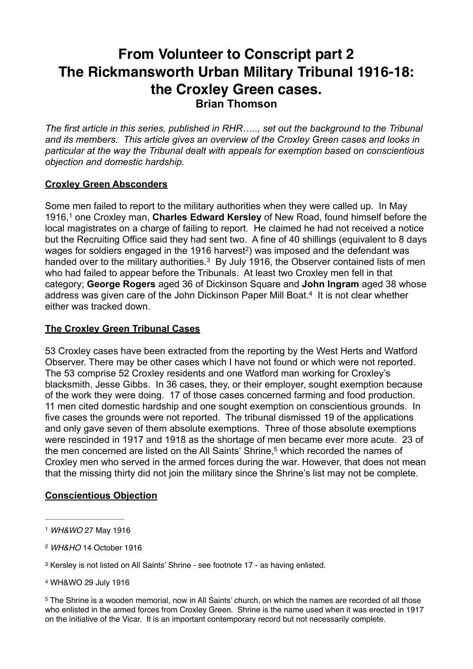# **From Volunteer to Conscript part 2 The Rickmansworth Urban Military Tribunal 1916-18: the Croxley Green cases. Brian Thomson**

*The first article in this series, published in RHR….., set out the background to the Tribunal and its members. This article gives an overview of the Croxley Green cases and looks in particular at the way the Tribunal dealt with appeals for exemption based on conscientious objection and domestic hardship.* 

# **Croxley Green Absconders**

Some men failed to report to the military authorities when they were called up. In May 1916,<sup>1</sup> one Croxley man, **Charles Edward Kersley** of New Road, found himself before the local magistrates on a charge of failing to report. He claimed he had not received a notice but the Recruiting Office said they had sent two. A fine of 40 shillings (equivalent to 8 days wages for soldiers engaged in the 1916 harvest<sup>2</sup>) was imposed and the defendant was handed over to the military authorities.<sup>3</sup> By July 1916, the Observer contained lists of men who had failed to appear before the Tribunals. At least two Croxley men fell in that category; **George Rogers** aged 36 of Dickinson Square and **John Ingram** aged 38 whose address was given care of the John Dickinson Paper Mill Boat.<sup>4</sup> It is not clear whether either was tracked down.

### **The Croxley Green Tribunal Cases**

53 Croxley cases have been extracted from the reporting by the West Herts and Watford Observer. There may be other cases which I have not found or which were not reported. The 53 comprise 52 Croxley residents and one Watford man working for Croxley's blacksmith, Jesse Gibbs. In 36 cases, they, or their employer, sought exemption because of the work they were doing. 17 of those cases concerned farming and food production. 11 men cited domestic hardship and one sought exemption on conscientious grounds. In five cases the grounds were not reported. The tribunal dismissed 19 of the applications and only gave seven of them absolute exemptions. Three of those absolute exemptions were rescinded in 1917 and 1918 as the shortage of men became ever more acute. 23 of the men concerned are listed on the All Saints' Shrine,<sup>5</sup> which recorded the names of Croxley men who served in the armed forces during the war. However, that does not mean that the missing thirty did not join the military since the Shrine's list may not be complete.

### **Conscientious Objection**

4 WH&WO 29 July 1916

<sup>1</sup> *WH&WO* 27 May 1916

<sup>2</sup> *WH&HO* 14 October 1916

<sup>&</sup>lt;sup>3</sup> Kersley is not listed on All Saints' Shrine - see footnote 17 - as having enlisted.

<sup>&</sup>lt;sup>5</sup> The Shrine is a wooden memorial, now in All Saints' church, on which the names are recorded of all those who enlisted in the armed forces from Croxley Green. Shrine is the name used when it was erected in 1917 on the initiative of the Vicar. It is an important contemporary record but not necessarily complete.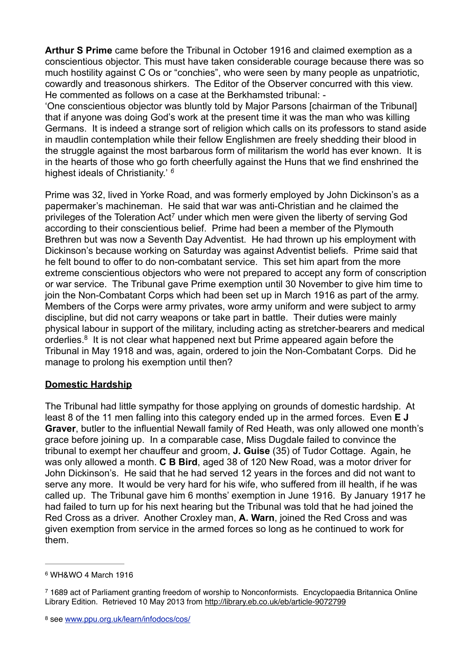**Arthur S Prime** came before the Tribunal in October 1916 and claimed exemption as a conscientious objector. This must have taken considerable courage because there was so much hostility against C Os or "conchies", who were seen by many people as unpatriotic, cowardly and treasonous shirkers. The Editor of the Observer concurred with this view. He commented as follows on a case at the Berkhamsted tribunal: -

'One conscientious objector was bluntly told by Major Parsons [chairman of the Tribunal] that if anyone was doing God's work at the present time it was the man who was killing Germans. It is indeed a strange sort of religion which calls on its professors to stand aside in maudlin contemplation while their fellow Englishmen are freely shedding their blood in the struggle against the most barbarous form of militarism the world has ever known. It is in the hearts of those who go forth cheerfully against the Huns that we find enshrined the highest ideals of Christianity.' *6*

Prime was 32, lived in Yorke Road, and was formerly employed by John Dickinson's as a papermaker's machineman. He said that war was anti-Christian and he claimed the privileges of the Toleration Act<sup>7</sup> under which men were given the liberty of serving God according to their conscientious belief. Prime had been a member of the Plymouth Brethren but was now a Seventh Day Adventist. He had thrown up his employment with Dickinson's because working on Saturday was against Adventist beliefs. Prime said that he felt bound to offer to do non-combatant service. This set him apart from the more extreme conscientious objectors who were not prepared to accept any form of conscription or war service. The Tribunal gave Prime exemption until 30 November to give him time to join the Non-Combatant Corps which had been set up in March 1916 as part of the army. Members of the Corps were army privates, wore army uniform and were subject to army discipline, but did not carry weapons or take part in battle. Their duties were mainly physical labour in support of the military, including acting as stretcher-bearers and medical orderlies.<sup>8</sup> It is not clear what happened next but Prime appeared again before the Tribunal in May 1918 and was, again, ordered to join the Non-Combatant Corps. Did he manage to prolong his exemption until then?

# **Domestic Hardship**

The Tribunal had little sympathy for those applying on grounds of domestic hardship. At least 8 of the 11 men falling into this category ended up in the armed forces. Even **E J Graver**, butler to the influential Newall family of Red Heath, was only allowed one month's grace before joining up. In a comparable case, Miss Dugdale failed to convince the tribunal to exempt her chauffeur and groom, **J. Guise** (35) of Tudor Cottage. Again, he was only allowed a month. **C B Bird**, aged 38 of 120 New Road, was a motor driver for John Dickinson's. He said that he had served 12 years in the forces and did not want to serve any more. It would be very hard for his wife, who suffered from ill health, if he was called up. The Tribunal gave him 6 months' exemption in June 1916. By January 1917 he had failed to turn up for his next hearing but the Tribunal was told that he had joined the Red Cross as a driver. Another Croxley man, **A. Warn**, joined the Red Cross and was given exemption from service in the armed forces so long as he continued to work for them.

<sup>6</sup> WH&WO 4 March 1916

 <sup>1689</sup> act of Parliament granting freedom of worship to Nonconformists. Encyclopaedia Britannica Online 7 Library Edition. Retrieved 10 May 2013 from http://library.eb.co.uk/eb/article-9072799

see www.ppu.org.uk/learn/infodocs/cos/ <sup>8</sup>